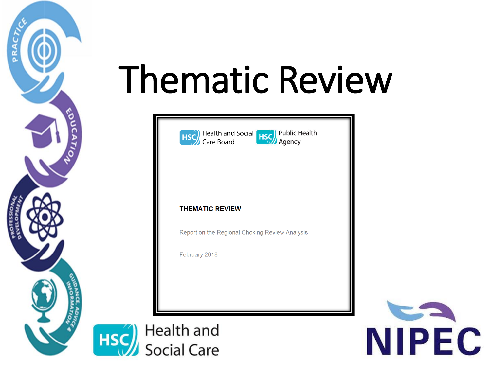





#### **THEMATIC REVIEW**

Report on the Regional Choking Review Analysis

February 2018

Health and HSC **Social Care** 

PRACT

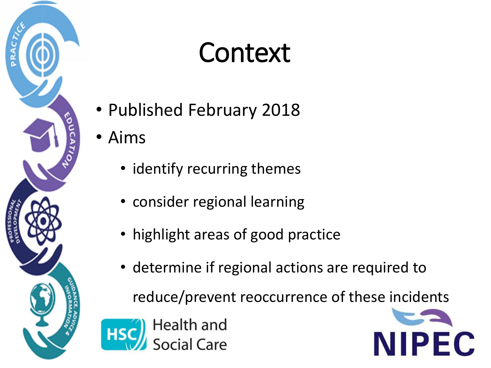

### Context

- Published February 2018
- Aims
	- identify recurring themes
	- consider regional learning
	- highlight areas of good practice
	- determine if regional actions are required to

reduce/prevent reoccurrence of these incidents



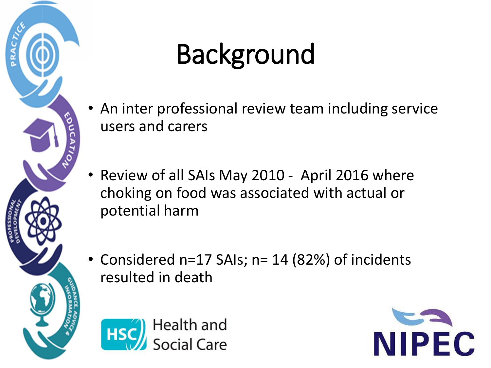

### Background

- An inter professional review team including service users and carers
- Review of all SAIs May 2010 April 2016 where choking on food was associated with actual or potential harm
- Considered n=17 SAIs; n= 14 (82%) of incidents resulted in death



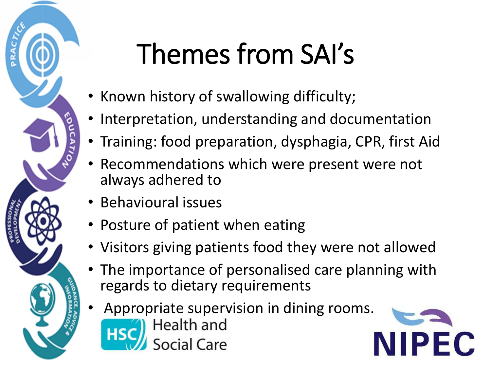

## Themes from SAI's

- Known history of swallowing difficulty;
- Interpretation, understanding and documentation
- Training: food preparation, dysphagia, CPR, first Aid
- Recommendations which were present were not always adhered to
- Behavioural issues
- Posture of patient when eating
- Visitors giving patients food they were not allowed
- The importance of personalised care planning with regards to dietary requirements
- Appropriate supervision in dining rooms.<br> **Example:** Health and iocial Care

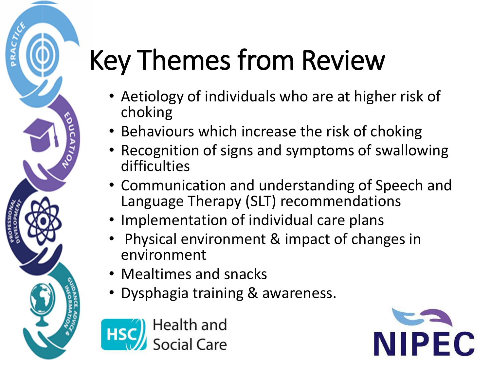### Key Themes from Review

- Aetiology of individuals who are at higher risk of choking
- Behaviours which increase the risk of choking
- Recognition of signs and symptoms of swallowing difficulties
- Communication and understanding of Speech and Language Therapy (SLT) recommendations
- Implementation of individual care plans
- Physical environment & impact of changes in environment
- Mealtimes and snacks
- Dysphagia training & awareness.



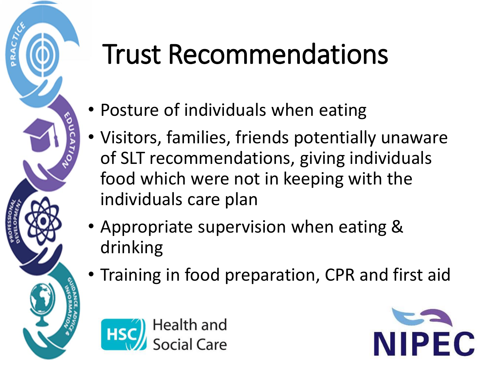### Trust Recommendations

- Posture of individuals when eating
- Visitors, families, friends potentially unaware of SLT recommendations, giving individuals food which were not in keeping with the individuals care plan
- Appropriate supervision when eating & drinking
- Training in food preparation, CPR and first aid



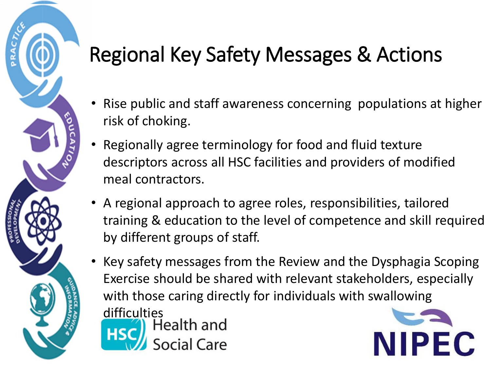- Rise public and staff awareness concerning populations at higher risk of choking.
- Regionally agree terminology for food and fluid texture descriptors across all HSC facilities and providers of modified meal contractors.
- A regional approach to agree roles, responsibilities, tailored training & education to the level of competence and skill required by different groups of staff.
- Key safety messages from the Review and the Dysphagia Scoping Exercise should be shared with relevant stakeholders, especially with those caring directly for individuals with swallowing difficulties<br>**A.L.A.** Health and



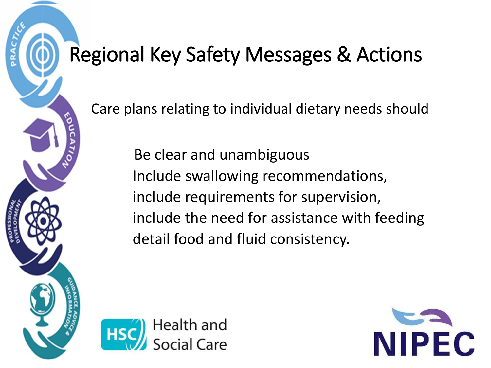Care plans relating to individual dietary needs should

 Be clear and unambiguous Include swallowing recommendations, include requirements for supervision, include the need for assistance with feeding detail food and fluid consistency.



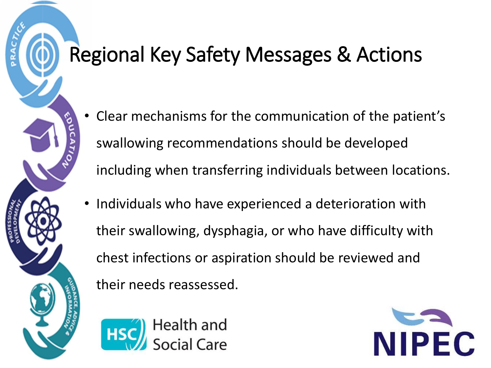- Clear mechanisms for the communication of the patient's swallowing recommendations should be developed including when transferring individuals between locations.
- Individuals who have experienced a deterioration with their swallowing, dysphagia, or who have difficulty with chest infections or aspiration should be reviewed and their needs reassessed.



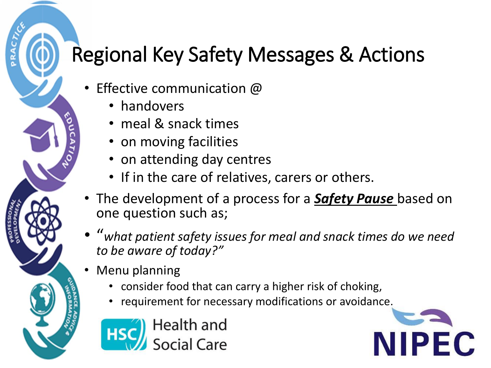- Effective communication  $@$ 
	- handovers
	- meal & snack times
	- on moving facilities
	- on attending day centres
	- If in the care of relatives, carers or others.
- The development of a process for a *Safety Pause* based on one question such as;
- "*what patient safety issues for meal and snack times do we need to be aware of today?"*
- Menu planning
	- consider food that can carry a higher risk of choking,
	- requirement for necessary modifications or avoidance.



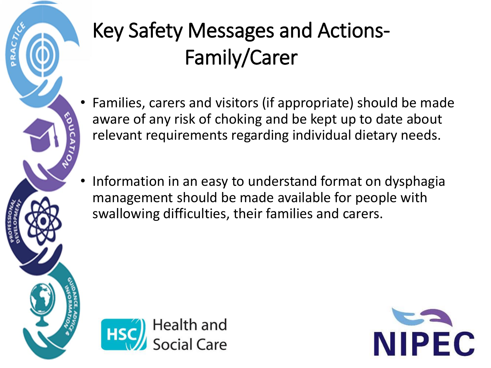

### Key Safety Messages and Actions-Family/Carer

- Families, carers and visitors (if appropriate) should be made aware of any risk of choking and be kept up to date about relevant requirements regarding individual dietary needs.
- Information in an easy to understand format on dysphagia management should be made available for people with swallowing difficulties, their families and carers.



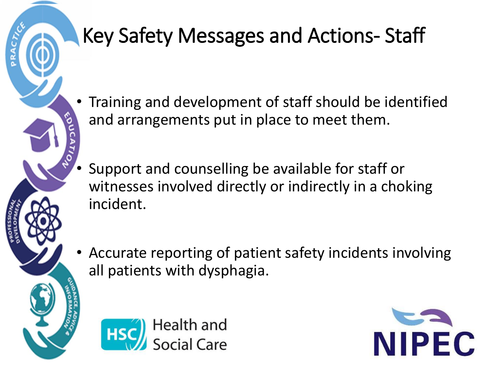#### Key Safety Messages and Actions- Staff

- Training and development of staff should be identified and arrangements put in place to meet them.
	- Support and counselling be available for staff or witnesses involved directly or indirectly in a choking incident.
- Accurate reporting of patient safety incidents involving all patients with dysphagia.



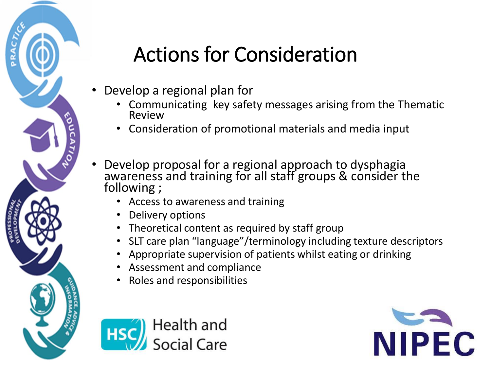

#### Actions for Consideration

- Develop a regional plan for
	- Communicating key safety messages arising from the Thematic Review
	- Consideration of promotional materials and media input
- Develop proposal for a regional approach to dysphagia awareness and training for all staff groups & consider the following ;
	- Access to awareness and training
	- Delivery options
	- Theoretical content as required by staff group
	- SLT care plan "language"/terminology including texture descriptors
	- Appropriate supervision of patients whilst eating or drinking
	- Assessment and compliance
	- Roles and responsibilities



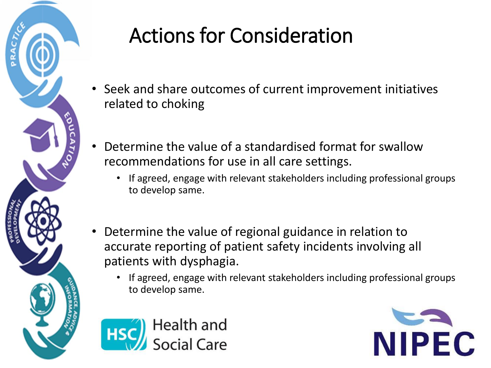

#### Actions for Consideration

- Seek and share outcomes of current improvement initiatives related to choking
- Determine the value of a standardised format for swallow recommendations for use in all care settings.
	- If agreed, engage with relevant stakeholders including professional groups to develop same.
- Determine the value of regional guidance in relation to accurate reporting of patient safety incidents involving all patients with dysphagia.
	- If agreed, engage with relevant stakeholders including professional groups to develop same.